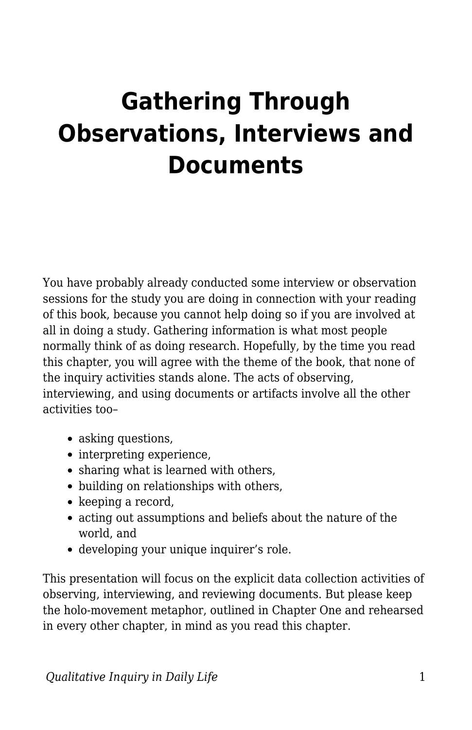## **Gathering Through Observations, Interviews and Documents**

You have probably already conducted some interview or observation sessions for the study you are doing in connection with your reading of this book, because you cannot help doing so if you are involved at all in doing a study. Gathering information is what most people normally think of as doing research. Hopefully, by the time you read this chapter, you will agree with the theme of the book, that none of the inquiry activities stands alone. The acts of observing, interviewing, and using documents or artifacts involve all the other activities too–

- asking questions,
- interpreting experience,
- sharing what is learned with others,
- building on relationships with others,
- keeping a record,
- acting out assumptions and beliefs about the nature of the world, and
- developing your unique inquirer's role.

This presentation will focus on the explicit data collection activities of observing, interviewing, and reviewing documents. But please keep the holo-movement metaphor, outlined in Chapter One and rehearsed in every other chapter, in mind as you read this chapter.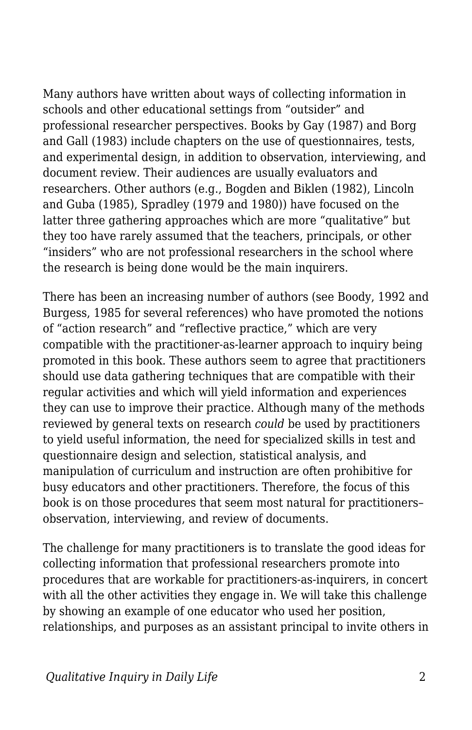Many authors have written about ways of collecting information in schools and other educational settings from "outsider" and professional researcher perspectives. Books by Gay (1987) and Borg and Gall (1983) include chapters on the use of questionnaires, tests, and experimental design, in addition to observation, interviewing, and document review. Their audiences are usually evaluators and researchers. Other authors (e.g., Bogden and Biklen (1982), Lincoln and Guba (1985), Spradley (1979 and 1980)) have focused on the latter three gathering approaches which are more "qualitative" but they too have rarely assumed that the teachers, principals, or other "insiders" who are not professional researchers in the school where the research is being done would be the main inquirers.

There has been an increasing number of authors (see Boody, 1992 and Burgess, 1985 for several references) who have promoted the notions of "action research" and "reflective practice," which are very compatible with the practitioner-as-learner approach to inquiry being promoted in this book. These authors seem to agree that practitioners should use data gathering techniques that are compatible with their regular activities and which will yield information and experiences they can use to improve their practice. Although many of the methods reviewed by general texts on research *could* be used by practitioners to yield useful information, the need for specialized skills in test and questionnaire design and selection, statistical analysis, and manipulation of curriculum and instruction are often prohibitive for busy educators and other practitioners. Therefore, the focus of this book is on those procedures that seem most natural for practitioners– observation, interviewing, and review of documents.

The challenge for many practitioners is to translate the good ideas for collecting information that professional researchers promote into procedures that are workable for practitioners-as-inquirers, in concert with all the other activities they engage in. We will take this challenge by showing an example of one educator who used her position, relationships, and purposes as an assistant principal to invite others in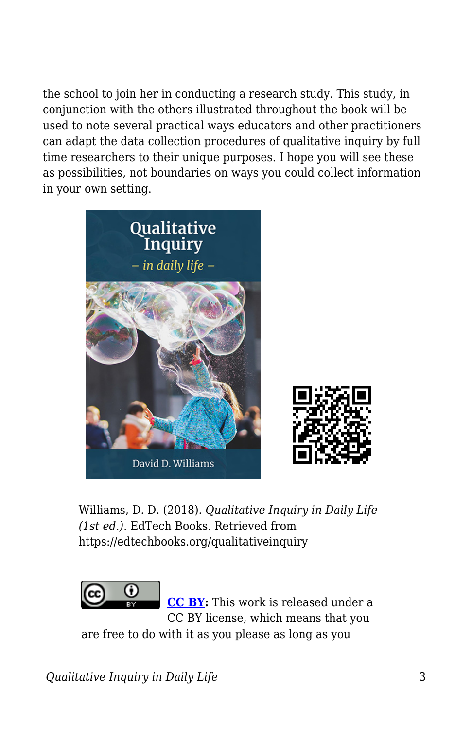the school to join her in conducting a research study. This study, in conjunction with the others illustrated throughout the book will be used to note several practical ways educators and other practitioners can adapt the data collection procedures of qualitative inquiry by full time researchers to their unique purposes. I hope you will see these as possibilities, not boundaries on ways you could collect information in your own setting.



Williams, D. D. (2018). *Qualitative Inquiry in Daily Life (1st ed.)*. EdTech Books. Retrieved from https://edtechbooks.org/qualitativeinquiry



**[CC BY:](https://creativecommons.org/licenses/by/4.0)** This work is released under a CC BY license, which means that you

are free to do with it as you please as long as you